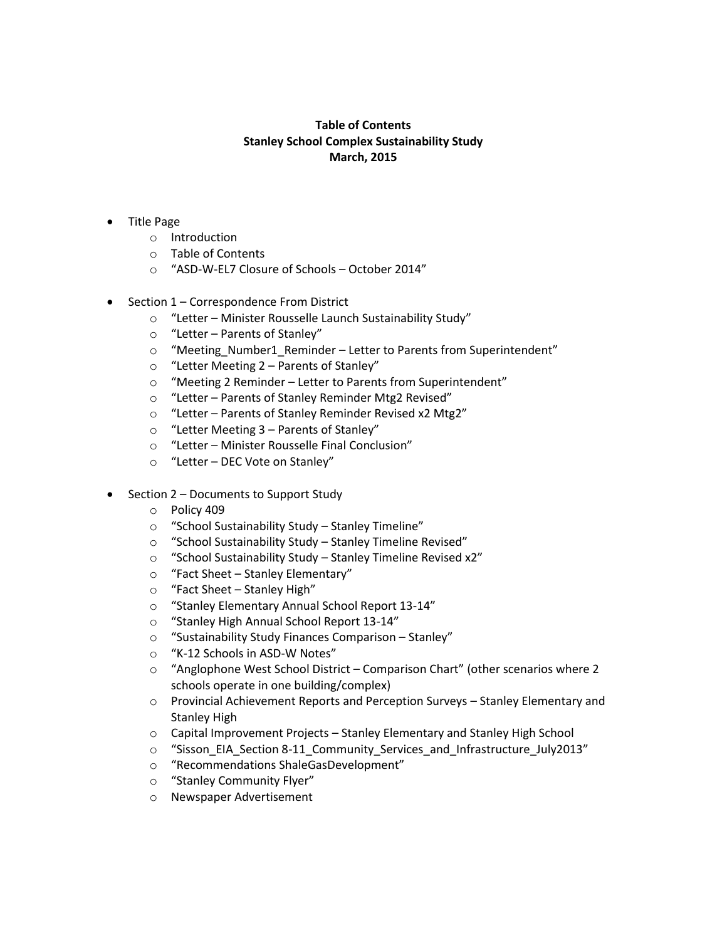## **Table of Contents Stanley School Complex Sustainability Study March, 2015**

- Title Page
	- o Introduction
	- o Table of Contents
	- o "ASD-W-EL7 Closure of Schools October 2014"
- Section 1 Correspondence From District
	- o "Letter Minister Rousselle Launch Sustainability Study"
	- o "Letter Parents of Stanley"
	- o "Meeting\_Number1\_Reminder Letter to Parents from Superintendent"
	- o "Letter Meeting 2 Parents of Stanley"
	- o "Meeting 2 Reminder Letter to Parents from Superintendent"
	- o "Letter Parents of Stanley Reminder Mtg2 Revised"
	- o "Letter Parents of Stanley Reminder Revised x2 Mtg2"
	- o "Letter Meeting 3 Parents of Stanley"
	- o "Letter Minister Rousselle Final Conclusion"
	- o "Letter DEC Vote on Stanley"
- Section 2 Documents to Support Study
	- o Policy 409
	- o "School Sustainability Study Stanley Timeline"
	- o "School Sustainability Study Stanley Timeline Revised"
	- o "School Sustainability Study Stanley Timeline Revised x2"
	- o "Fact Sheet Stanley Elementary"
	- o "Fact Sheet Stanley High"
	- o "Stanley Elementary Annual School Report 13-14"
	- o "Stanley High Annual School Report 13-14"
	- o "Sustainability Study Finances Comparison Stanley"
	- o "K-12 Schools in ASD-W Notes"
	- o "Anglophone West School District Comparison Chart" (other scenarios where 2 schools operate in one building/complex)
	- o Provincial Achievement Reports and Perception Surveys Stanley Elementary and Stanley High
	- $\circ$  Capital Improvement Projects Stanley Elementary and Stanley High School
	- o "Sisson\_EIA\_Section 8-11\_Community\_Services\_and\_Infrastructure\_July2013"
	- o "Recommendations ShaleGasDevelopment"
	- o "Stanley Community Flyer"
	- o Newspaper Advertisement